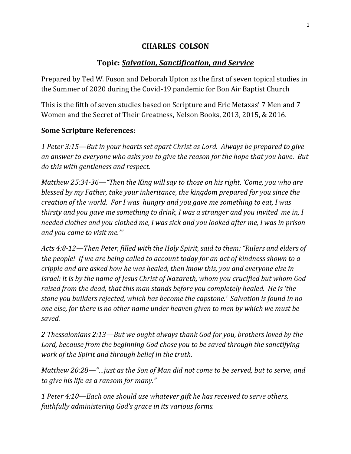## **CHARLES COLSON**

## **Topic:** *Salvation, Sanctification, and Service*

Prepared by Ted W. Fuson and Deborah Upton as the first of seven topical studies in the Summer of 2020 during the Covid-19 pandemic for Bon Air Baptist Church

This is the fifth of seven studies based on Scripture and Eric Metaxas' 7 Men and 7 Women and the Secret of Their Greatness, Nelson Books, 2013, 2015, & 2016.

## **Some Scripture References:**

*1 Peter 3:15—But in your hearts set apart Christ as Lord. Always be prepared to give an answer to everyone who asks you to give the reason for the hope that you have. But do this with gentleness and respect.*

*Matthew 25:34-36—"Then the King will say to those on his right, 'Come, you who are blessed by my Father, take your inheritance, the kingdom prepared for you since the creation of the world. For I was hungry and you gave me something to eat, I was thirsty and you gave me something to drink, I was a stranger and you invited me in, I needed clothes and you clothed me, I was sick and you looked after me, I was in prison and you came to visit me.'"*

*Acts 4:8-12—Then Peter, filled with the Holy Spirit, said to them: "Rulers and elders of the people! If we are being called to account today for an act of kindness shown to a cripple and are asked how he was healed, then know this, you and everyone else in Israel: it is by the name of Jesus Christ of Nazareth, whom you crucified but whom God raised from the dead, that this man stands before you completely healed. He is 'the stone you builders rejected, which has become the capstone.' Salvation is found in no one else, for there is no other name under heaven given to men by which we must be saved.*

*2 Thessalonians 2:13—But we ought always thank God for you, brothers loved by the Lord, because from the beginning God chose you to be saved through the sanctifying work of the Spirit and through belief in the truth.*

*Matthew 20:28—"…just as the Son of Man did not come to be served, but to serve, and to give his life as a ransom for many."*

*1 Peter 4:10—Each one should use whatever gift he has received to serve others, faithfully administering God's grace in its various forms.*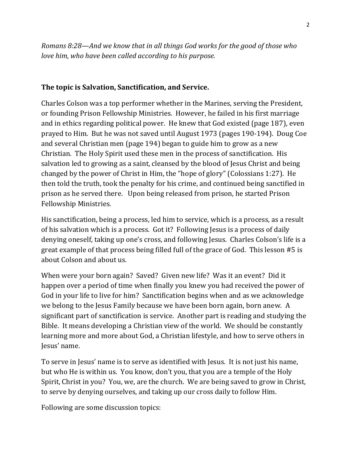*Romans 8:28—And we know that in all things God works for the good of those who love him, who have been called according to his purpose.*

## **The topic is Salvation, Sanctification, and Service.**

Charles Colson was a top performer whether in the Marines, serving the President, or founding Prison Fellowship Ministries. However, he failed in his first marriage and in ethics regarding political power. He knew that God existed (page 187), even prayed to Him. But he was not saved until August 1973 (pages 190-194). Doug Coe and several Christian men (page 194) began to guide him to grow as a new Christian. The Holy Spirit used these men in the process of sanctification. His salvation led to growing as a saint, cleansed by the blood of Jesus Christ and being changed by the power of Christ in Him, the "hope of glory" (Colossians 1:27). He then told the truth, took the penalty for his crime, and continued being sanctified in prison as he served there. Upon being released from prison, he started Prison Fellowship Ministries.

His sanctification, being a process, led him to service, which is a process, as a result of his salvation which is a process. Got it? Following Jesus is a process of daily denying oneself, taking up one's cross, and following Jesus. Charles Colson's life is a great example of that process being filled full of the grace of God. This lesson #5 is about Colson and about us.

When were your born again? Saved? Given new life? Was it an event? Did it happen over a period of time when finally you knew you had received the power of God in your life to live for him? Sanctification begins when and as we acknowledge we belong to the Jesus Family because we have been born again, born anew. A significant part of sanctification is service. Another part is reading and studying the Bible. It means developing a Christian view of the world. We should be constantly learning more and more about God, a Christian lifestyle, and how to serve others in Jesus' name.

To serve in Jesus' name is to serve as identified with Jesus. It is not just his name, but who He is within us. You know, don't you, that you are a temple of the Holy Spirit, Christ in you? You, we, are the church. We are being saved to grow in Christ, to serve by denying ourselves, and taking up our cross daily to follow Him.

Following are some discussion topics: